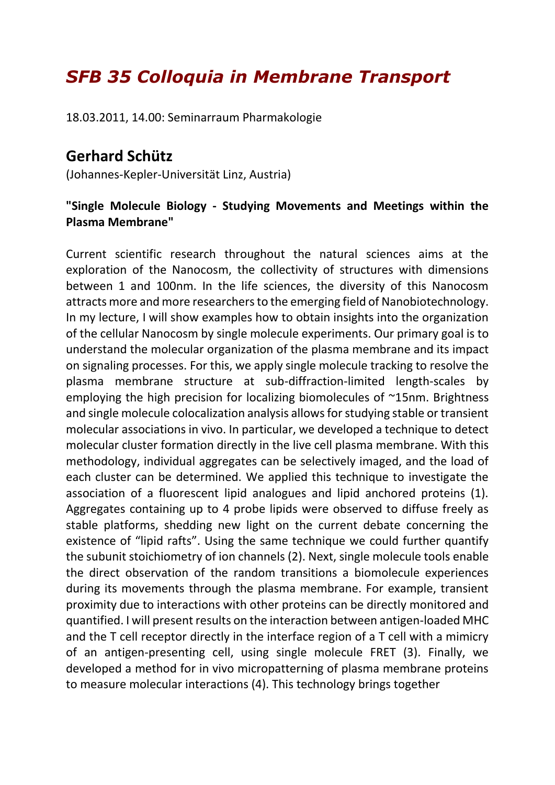## *SFB 35 Colloquia in Membrane Transport*

18.03.2011, 14.00: Seminarraum Pharmakologie

## **Gerhard Schütz**

(Johannes-Kepler-Universität Linz, Austria)

## **"Single Molecule Biology - Studying Movements and Meetings within the Plasma Membrane"**

Current scientific research throughout the natural sciences aims at the exploration of the Nanocosm, the collectivity of structures with dimensions between 1 and 100nm. In the life sciences, the diversity of this Nanocosm attracts more and more researchers to the emerging field of Nanobiotechnology. In my lecture, I will show examples how to obtain insights into the organization of the cellular Nanocosm by single molecule experiments. Our primary goal is to understand the molecular organization of the plasma membrane and its impact on signaling processes. For this, we apply single molecule tracking to resolve the plasma membrane structure at sub-diffraction-limited length-scales by employing the high precision for localizing biomolecules of ~15nm. Brightness and single molecule colocalization analysis allows for studying stable or transient molecular associations in vivo. In particular, we developed a technique to detect molecular cluster formation directly in the live cell plasma membrane. With this methodology, individual aggregates can be selectively imaged, and the load of each cluster can be determined. We applied this technique to investigate the association of a fluorescent lipid analogues and lipid anchored proteins (1). Aggregates containing up to 4 probe lipids were observed to diffuse freely as stable platforms, shedding new light on the current debate concerning the existence of "lipid rafts". Using the same technique we could further quantify the subunit stoichiometry of ion channels (2). Next, single molecule tools enable the direct observation of the random transitions a biomolecule experiences during its movements through the plasma membrane. For example, transient proximity due to interactions with other proteins can be directly monitored and quantified. I will present results on the interaction between antigen-loaded MHC and the T cell receptor directly in the interface region of a T cell with a mimicry of an antigen-presenting cell, using single molecule FRET (3). Finally, we developed a method for in vivo micropatterning of plasma membrane proteins to measure molecular interactions (4). This technology brings together